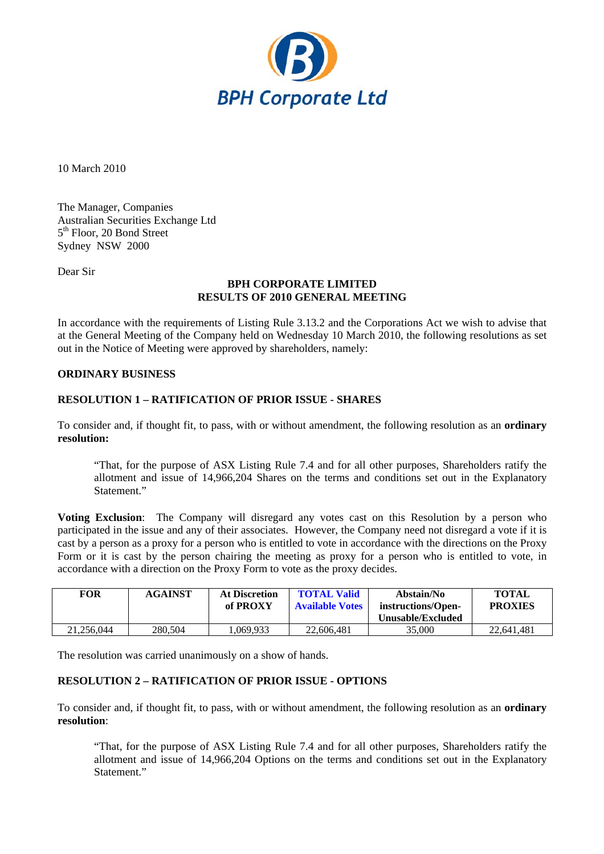

10 March 2010

The Manager, Companies Australian Securities Exchange Ltd 5<sup>th</sup> Floor, 20 Bond Street Sydney NSW 2000

Dear Sir

## **BPH CORPORATE LIMITED RESULTS OF 2010 GENERAL MEETING**

In accordance with the requirements of Listing Rule 3.13.2 and the Corporations Act we wish to advise that at the General Meeting of the Company held on Wednesday 10 March 2010, the following resolutions as set out in the Notice of Meeting were approved by shareholders, namely:

## **ORDINARY BUSINESS**

## **RESOLUTION 1 – RATIFICATION OF PRIOR ISSUE - SHARES**

To consider and, if thought fit, to pass, with or without amendment, the following resolution as an **ordinary resolution:** 

"That, for the purpose of ASX Listing Rule 7.4 and for all other purposes, Shareholders ratify the allotment and issue of 14,966,204 Shares on the terms and conditions set out in the Explanatory Statement."

**Voting Exclusion**: The Company will disregard any votes cast on this Resolution by a person who participated in the issue and any of their associates. However, the Company need not disregard a vote if it is cast by a person as a proxy for a person who is entitled to vote in accordance with the directions on the Proxy Form or it is cast by the person chairing the meeting as proxy for a person who is entitled to vote, in accordance with a direction on the Proxy Form to vote as the proxy decides.

| <b>FOR</b> | <b>AGAINST</b> | <b>At Discretion</b><br>of PROXY | <b>TOTAL Valid</b><br><b>Available Votes</b> | Abstain/No<br>instructions/Open-<br>Unusable/Excluded | <b>TOTAL</b><br><b>PROXIES</b> |
|------------|----------------|----------------------------------|----------------------------------------------|-------------------------------------------------------|--------------------------------|
| 21.256.044 | 280,504        | .069.933                         | 22,606,481                                   | 35,000                                                | 22.641.481                     |

The resolution was carried unanimously on a show of hands.

## **RESOLUTION 2 – RATIFICATION OF PRIOR ISSUE - OPTIONS**

To consider and, if thought fit, to pass, with or without amendment, the following resolution as an **ordinary resolution**:

"That, for the purpose of ASX Listing Rule 7.4 and for all other purposes, Shareholders ratify the allotment and issue of 14,966,204 Options on the terms and conditions set out in the Explanatory Statement."